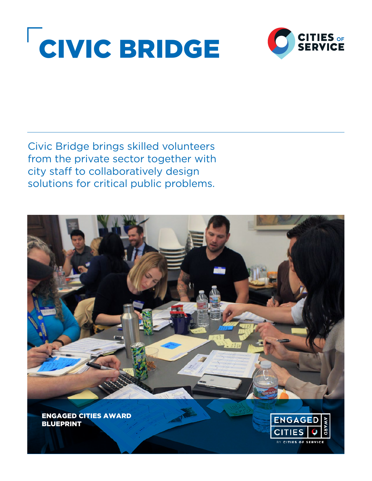



Civic Bridge brings skilled volunteers from the private sector together with city staff to collaboratively design solutions for critical public problems.

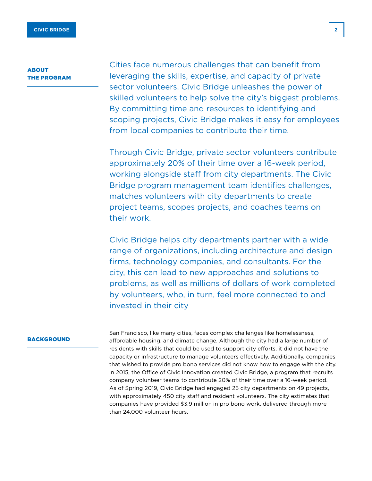# **ABOUT** THE PROGRAM

Cities face numerous challenges that can benefit from leveraging the skills, expertise, and capacity of private sector volunteers. Civic Bridge unleashes the power of skilled volunteers to help solve the city's biggest problems. By committing time and resources to identifying and scoping projects, Civic Bridge makes it easy for employees from local companies to contribute their time.

Through Civic Bridge, private sector volunteers contribute approximately 20% of their time over a 16-week period, working alongside staff from city departments. The Civic Bridge program management team identifies challenges, matches volunteers with city departments to create project teams, scopes projects, and coaches teams on their work.

Civic Bridge helps city departments partner with a wide range of organizations, including architecture and design firms, technology companies, and consultants. For the city, this can lead to new approaches and solutions to problems, as well as millions of dollars of work completed by volunteers, who, in turn, feel more connected to and invested in their city

#### BACKGROUND

San Francisco, like many cities, faces complex challenges like homelessness, affordable housing, and climate change. Although the city had a large number of residents with skills that could be used to support city efforts, it did not have the capacity or infrastructure to manage volunteers effectively. Additionally, companies that wished to provide pro bono services did not know how to engage with the city. In 2015, the Office of Civic Innovation created Civic Bridge, a program that recruits company volunteer teams to contribute 20% of their time over a 16-week period. As of Spring 2019, Civic Bridge had engaged 25 city departments on 49 projects, with approximately 450 city staff and resident volunteers. The city estimates that companies have provided \$3.9 million in pro bono work, delivered through more than 24,000 volunteer hours.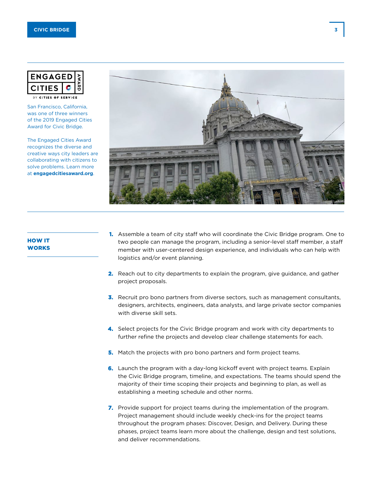

BY CITIES OF SERVICE

San Francisco, California, was one of three winners of the 2019 Engaged Cities Award for Civic Bridge.

The Engaged Cities Award recognizes the diverse and creative ways city leaders are collaborating with citizens to solve problems. Learn more at **[engagedcitiesaward.org](http://engagedcitiesaward.org)**.



# HOW IT **WORKS**

- **1.** Assemble a team of city staff who will coordinate the Civic Bridge program. One to two people can manage the program, including a senior-level staff member, a staff member with user-centered design experience, and individuals who can help with logistics and/or event planning.
- **2.** Reach out to city departments to explain the program, give guidance, and gather project proposals.
- **3.** Recruit pro bono partners from diverse sectors, such as management consultants, designers, architects, engineers, data analysts, and large private sector companies with diverse skill sets.
- **4.** Select projects for the Civic Bridge program and work with city departments to further refine the projects and develop clear challenge statements for each.
- **5.** Match the projects with pro bono partners and form project teams.
- **6.** Launch the program with a day-long kickoff event with project teams. Explain the Civic Bridge program, timeline, and expectations. The teams should spend the majority of their time scoping their projects and beginning to plan, as well as establishing a meeting schedule and other norms.
- **7.** Provide support for project teams during the implementation of the program. Project management should include weekly check-ins for the project teams throughout the program phases: Discover, Design, and Delivery. During these phases, project teams learn more about the challenge, design and test solutions, and deliver recommendations.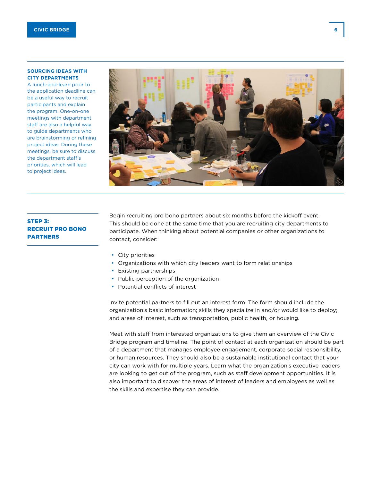## **SOURCING IDEAS WITH CITY DEPARTMENTS**

A lunch-and-learn prior to the application deadline can be a useful way to recruit participants and explain the program. One-on-one meetings with department staff are also a helpful way to guide departments who are brainstorming or refining project ideas. During these meetings, be sure to discuss the department staff's priorities, which will lead to project ideas.

# STEP 3: RECRUIT PRO BONO PARTNERS

Begin recruiting pro bono partners about six months before the kickoff event. This should be done at the same time that you are recruiting city departments to participate. When thinking about potential companies or other organizations to contact, consider:

- City priorities
- Organizations with which city leaders want to form relationships
- Existing partnerships
- Public perception of the organization
- Potential conflicts of interest

Invite potential partners to fill out an interest form. The form should include the organization's basic information; skills they specialize in and/or would like to deploy; and areas of interest, such as transportation, public health, or housing.

Meet with staff from interested organizations to give them an overview of the Civic Bridge program and timeline. The point of contact at each organization should be part of a department that manages employee engagement, corporate social responsibility, or human resources. They should also be a sustainable institutional contact that your city can work with for multiple years. Learn what the organization's executive leaders are looking to get out of the program, such as staff development opportunities. It is also important to discover the areas of interest of leaders and employees as well as the skills and expertise they can provide.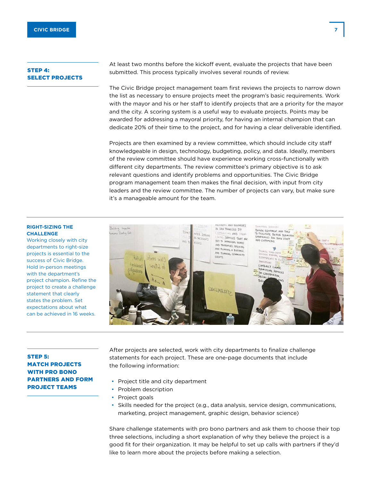## STEP 4: SELECT PROJECTS

At least two months before the kickoff event, evaluate the projects that have been submitted. This process typically involves several rounds of review.

The Civic Bridge project management team first reviews the projects to narrow down the list as necessary to ensure projects meet the program's basic requirements. Work with the mayor and his or her staff to identify projects that are a priority for the mayor and the city. A scoring system is a useful way to evaluate projects. Points may be awarded for addressing a mayoral priority, for having an internal champion that can dedicate 20% of their time to the project, and for having a clear deliverable identified.

Projects are then examined by a review committee, which should include city staff knowledgeable in design, technology, budgeting, policy, and data. Ideally, members of the review committee should have experience working cross-functionally with different city departments. The review committee's primary objective is to ask relevant questions and identify problems and opportunities. The Civic Bridge program management team then makes the final decision, with input from city leaders and the review committee. The number of projects can vary, but make sure it's a manageable amount for the team.

## **RIGHT-SIZING THE CHALLENGE**

Working closely with city departments to right-size projects is essential to the success of Civic Bridge. Hold in-person meetings with the department's project champion. Refine the project to create a challenge statement that clearly states the problem. Set expectations about what can be achieved in 16 weeks.



## STEP 5: MATCH PROJECTS WITH PRO BONO PARTNERS AND FORM PROJECT TEAMS

After projects are selected, work with city departments to finalize challenge statements for each project. These are one-page documents that include the following information:

- Project title and city department
- Problem description
- Project goals
- Skills needed for the project (e.g., data analysis, service design, communications, marketing, project management, graphic design, behavior science)

Share challenge statements with pro bono partners and ask them to choose their top three selections, including a short explanation of why they believe the project is a good fit for their organization. It may be helpful to set up calls with partners if they'd like to learn more about the projects before making a selection.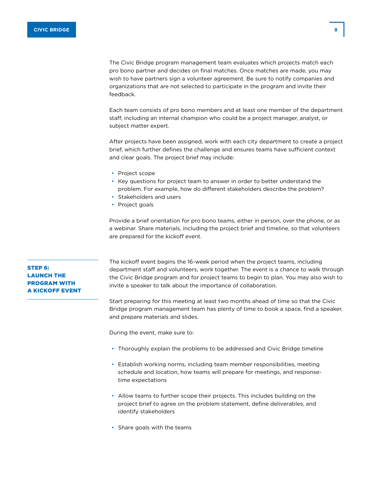The Civic Bridge program management team evaluates which projects match each pro bono partner and decides on final matches. Once matches are made, you may wish to have partners sign a volunteer agreement. Be sure to notify companies and organizations that are not selected to participate in the program and invite their feedback.

Each team consists of pro bono members and at least one member of the department staff, including an internal champion who could be a project manager, analyst, or subject matter expert.

After projects have been assigned, work with each city department to create a project brief, which further defines the challenge and ensures teams have sufficient context and clear goals. The project brief may include:

- Project scope
- Key questions for project team to answer in order to better understand the problem. For example, how do different stakeholders describe the problem?
- Stakeholders and users
- Project goals

Provide a brief orientation for pro bono teams, either in person, over the phone, or as a webinar. Share materials, including the project brief and timeline, so that volunteers are prepared for the kickoff event.

The kickoff event begins the 16-week period when the project teams, including department staff and volunteers, work together. The event is a chance to walk through the Civic Bridge program and for project teams to begin to plan. You may also wish to invite a speaker to talk about the importance of collaboration.

Start preparing for this meeting at least two months ahead of time so that the Civic Bridge program management team has plenty of time to book a space, find a speaker, and prepare materials and slides.

During the event, make sure to:

- Thoroughly explain the Civic Bridge program and timeline
- Establish working norms, including team member responsibilities, meeting schedule and location, how teams will prepare for meetings, and responsetime expectations
- Allow teams to further scope their projects. This includes building on the project brief to agree on the problem statement, define deliverables, and identify stakeholders
- Share goals with the teams

## STEP 6: LAUNCH THE PROGRAM WITH A KICKOFF EVENT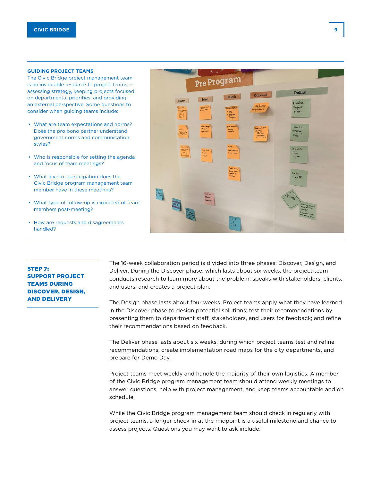#### **GUIDING PROJECT TEAMS**

The Civic Bridge project management team is an invaluable resource to project teams assessing strategy, keeping projects focused on departmental priorities, and providing an external perspective. Some questions to consider when guiding teams include:

- What are team expectations and norms? Does the pro bono partner understand government norms and communication styles?
- Who is responsible for setting the agenda and focus of team meetings?
- What level of participation does the Civic Bridge program management team member have in these meetings?
- What type of follow-up is expected of team members post-meeting?
- How are requests and disagreements handled?

STED<sub>7</sub>. SUPPORT PROJECT TEAMS DURING DISCOVER, DESIGN, AND DELIVERY



The 16-week collaboration period is divided into three phases: Discover, Design, and Deliver. During the Discover phase, which lasts about six weeks, the project team conducts research to learn more about the problem; speaks with stakeholders, clients, and users; and creates a project plan.

The Design phase lasts about four weeks. Project teams apply what they have learned in the Discover phase to design potential solutions; test their recommendations by presenting them to department staff, stakeholders, and users for feedback; and refine their recommendations based on feedback.

The Deliver phase lasts about six weeks, during which project teams test and refine recommendations, create implementation road maps for the city departments, and prepare for Demo Day.

Project teams meet weekly and handle the majority of their own logistics. A member of the Civic Bridge program management team should attend weekly meetings to answer questions, help with project management, and keep teams accountable and on schedule.

While the Civic Bridge program management team should check in regularly with project teams, a longer check-in at the midpoint is a useful milestone and chance to assess projects. Questions you may want to ask include: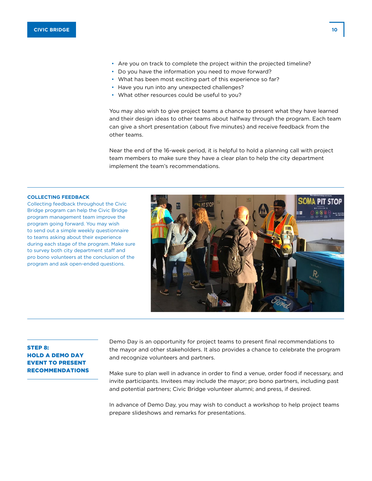- Are you on track to complete the project within the projected timeline?
- Do you have the information you need to move forward?
- What has been most exciting part of this experience so far?
- Have you run into any unexpected challenges?
- What other resources could be useful to you?

You may also wish to give project teams a chance to present what they have learned and their design ideas to other teams about halfway through the program. Each team can give a short presentation (about five minutes) and receive feedback from the other teams.

Near the end of the 16-week period, it is helpful to hold a planning call with project team members to make sure they have a clear plan to help the city department implement the team's recommendations.

#### **COLLECTING FEEDBACK**

Collecting feedback throughout the Civic Bridge program can help the Civic Bridge program management team improve the program going forward. You may wish to send out a simple weekly questionnaire to teams asking about their experience during each stage of the program. Make sure to survey both city department staff and pro bono volunteers at the conclusion of the program and ask open-ended questions.



## STEP 8: HOLD A DEMO DAY EVENT TO PRESENT RECOMMENDATIONS

Demo Day is an opportunity for project teams to present final recommendations to the mayor and other stakeholders. It also provides a chance to celebrate the program and recognize volunteers and partners.

Make sure to plan well in advance in order to find a venue, order food if necessary, and invite participants. Invitees may include the mayor; pro bono partners, including past and potential partners; Civic Bridge volunteer alumni; and press, if desired.

In advance of Demo Day, you may wish to conduct a workshop to help project teams prepare slideshows and remarks for presentations.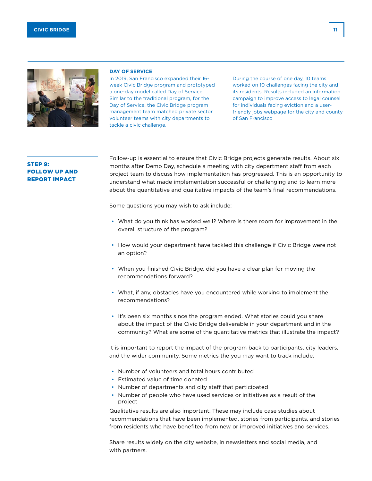



#### **DAY OF SERVICE**

In 2019, San Francisco expanded their 16 week Civic Bridge program and prototyped a one-day model called Day of Service. Similar to the traditional program, for the Day of Service, the Civic Bridge program management team matched private sector volunteer teams with city departments to tackle a civic challenge.

During the course of one day, 10 teams worked on 10 challenges facing the city and its residents. Results included an information campaign to improve access to legal counsel for individuals facing eviction and a userfriendly jobs webpage for the city and county of San Francisco

## STEP 9: FOLLOW UP AND REPORT IMPACT

Follow-up is essential to ensure that Civic Bridge projects generate results. About six months after Demo Day, schedule a meeting with city department staff from each project team to discuss how implementation has progressed. This is an opportunity to understand what made implementation successful or challenging and to learn more about the quantitative and qualitative impacts of the team's final recommendations.

Some questions you may wish to ask include:

- What do you think has worked well? Where is there room for improvement in the overall structure of the program?
- How would your department have tackled this challenge if Civic Bridge were not an option?
- When you finished Civic Bridge, did you have a clear plan for moving the recommendations forward?
- What, if any, obstacles have you encountered while working to implement the recommendations?
- It's been six months since the program ended. What stories could you share about the impact of the Civic Bridge deliverable in your department and in the community? What are some of the quantitative metrics that illustrate the impact?

It is important to report the impact of the program back to participants, city leaders, and the wider community. Some metrics the you may want to track include:

- Number of volunteers and total hours contributed
- Estimated value of time donated
- Number of departments and city staff that participated
- Number of people who have used services or initiatives as a result of the project

Qualitative results are also important. These may include case studies about recommendations that have been implemented, stories from participants, and stories from residents who have benefited from new or improved initiatives and services.

Share results widely on the city website, in newsletters and social media, and with partners.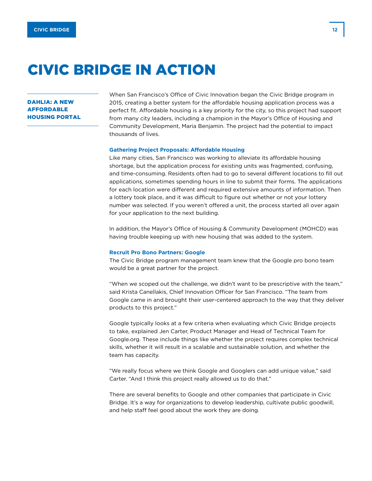# CIVIC BRIDGE IN ACTION

## DAHLIA: A NEW AFFORDABLE HOUSING PORTAL

When San Francisco's Office of Civic Innovation began the Civic Bridge program in 2015, creating a better system for the affordable housing application process was a perfect fit. Affordable housing is a key priority for the city, so this project had support from many city leaders, including a champion in the Mayor's Office of Housing and Community Development, Maria Benjamin. The project had the potential to impact thousands of lives.

## **Gathering Project Proposals: Affordable Housing**

Like many cities, San Francisco was working to alleviate its affordable housing shortage, but the application process for existing units was fragmented, confusing, and time-consuming. Residents often had to go to several different locations to fill out applications, sometimes spending hours in line to submit their forms. The applications for each location were different and required extensive amounts of information. Then a lottery took place, and it was difficult to figure out whether or not your lottery number was selected. If you weren't offered a unit, the process started all over again for your application to the next building.

In addition, the Mayor's Office of Housing & Community Development (MOHCD) was having trouble keeping up with new housing that was added to the system.

#### **Recruit Pro Bono Partners: Google**

The Civic Bridge program management team knew that the Google pro bono team would be a great partner for the project.

"When we scoped out the challenge, we didn't want to be prescriptive with the team," said Krista Canellakis, Chief Innovation Officer for San Francisco. "The team from Google came in and brought their user-centered approach to the way that they deliver products to this project."

Google typically looks at a few criteria when evaluating which Civic Bridge projects to take, explained Jen Carter, Product Manager and Head of Technical Team for Google.org. These include things like whether the project requires complex technical skills, whether it will result in a scalable and sustainable solution, and whether the team has capacity.

"We really focus where we think Google and Googlers can add unique value," said Carter. "And I think this project really allowed us to do that."

There are several benefits to Google and other companies that participate in Civic Bridge. It's a way for organizations to develop leadership, cultivate public goodwill, and help staff feel good about the work they are doing.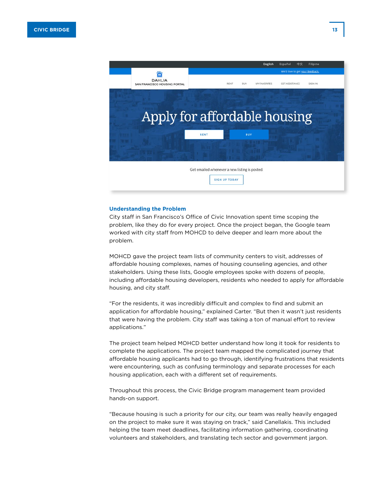

#### **Understanding the Problem**

City staff in San Francisco's Office of Civic Innovation spent time scoping the problem, like they do for every project. Once the project began, the Google team worked with city staff from MOHCD to delve deeper and learn more about the problem.

MOHCD gave the project team lists of community centers to visit, addresses of affordable housing complexes, names of housing counseling agencies, and other stakeholders. Using these lists, Google employees spoke with dozens of people, including affordable housing developers, residents who needed to apply for affordable housing, and city staff.

"For the residents, it was incredibly difficult and complex to find and submit an application for affordable housing," explained Carter. "But then it wasn't just residents that were having the problem. City staff was taking a ton of manual effort to review applications."

The project team helped MOHCD better understand how long it took for residents to complete the applications. The project team mapped the complicated journey that affordable housing applicants had to go through, identifying frustrations that residents were encountering, such as confusing terminology and separate processes for each housing application, each with a different set of requirements.

Throughout this process, the Civic Bridge program management team provided hands-on support.

"Because housing is such a priority for our city, our team was really heavily engaged on the project to make sure it was staying on track," said Canellakis. This included helping the team meet deadlines, facilitating information gathering, coordinating volunteers and stakeholders, and translating tech sector and government jargon.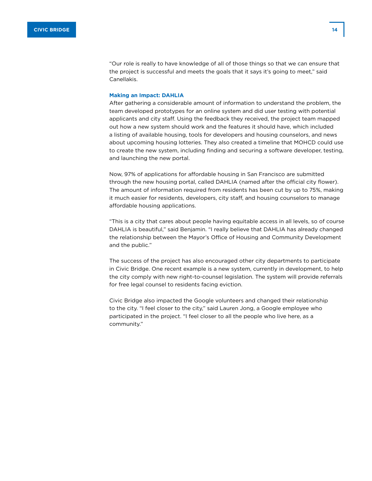"Our role is really to have knowledge of all of those things so that we can ensure that the project is successful and meets the goals that it says it's going to meet," said Canellakis.

## **Making an Impact: DAHLIA**

After gathering a considerable amount of information to understand the problem, the team developed prototypes for an online system and did user testing with potential applicants and city staff. Using the feedback they received, the project team mapped out how a new system should work and the features it should have, which included a listing of available housing, tools for developers and housing counselors, and news about upcoming housing lotteries. They also created a timeline that MOHCD could use to create the new system, including finding and securing a software developer, testing, and launching the new portal.

Now, 97% of applications for affordable housing in San Francisco are submitted through the new housing portal, called DAHLIA (named after the official city flower). The amount of information required from residents has been cut by up to 75%, making it much easier for residents, developers, city staff, and housing counselors to manage affordable housing applications.

"This is a city that cares about people having equitable access in all levels, so of course DAHLIA is beautiful," said Benjamin. "I really believe that DAHLIA has already changed the relationship between the Mayor's Office of Housing and Community Development and the public."

The success of the project has also encouraged other city departments to participate in Civic Bridge. One recent example is a new system, currently in development, to help the city comply with new right-to-counsel legislation. The system will provide referrals for free legal counsel to residents facing eviction.

Civic Bridge also impacted the Google volunteers and changed their relationship to the city. "I feel closer to the city," said Lauren Jong, a Google employee who participated in the project. "I feel closer to all the people who live here, as a community."